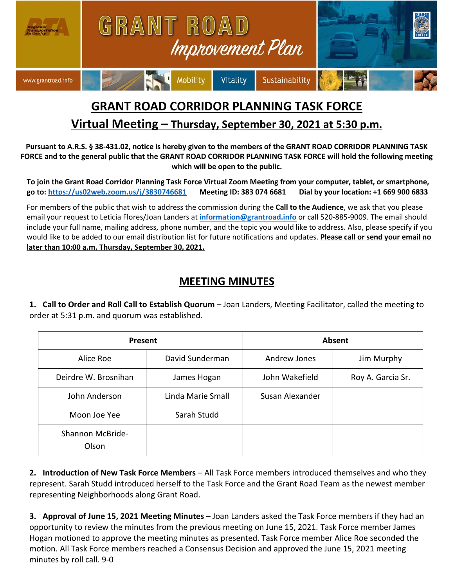

## **GRANT ROAD CORRIDOR PLANNING TASK FORCE**

## **Virtual Meeting – Thursday, September 30, 2021 at 5:30 p.m.**

**Pursuant to A.R.S. § 38-431.02, notice is hereby given to the members of the GRANT ROAD CORRIDOR PLANNING TASK FORCE and to the general public that the GRANT ROAD CORRIDOR PLANNING TASK FORCE will hold the following meeting which will be open to the public.**

**To join the Grant Road Corridor Planning Task Force Virtual Zoom Meeting from your computer, tablet, or smartphone, go to: <https://us02web.zoom.us/j/3830746681>Meeting ID: 383 074 6681 Dial by your location: +1 669 900 6833** 

For members of the public that wish to address the commission during the **Call to the Audience**, we ask that you please email your request to Leticia Flores/Joan Landers at **[information@grantroad.info](mailto:information@grantroad.info)** or call 520-885-9009. The email should include your full name, mailing address, phone number, and the topic you would like to address. Also, please specify if you would like to be added to our email distribution list for future notifications and updates. **Please call or send your email no later than 10:00 a.m. Thursday, September 30, 2021.**

## **MEETING MINUTES**

**1. Call to Order and Roll Call to Establish Quorum** – Joan Landers, Meeting Facilitator, called the meeting to order at 5:31 p.m. and quorum was established.

| Present                   |                   | Absent          |                   |
|---------------------------|-------------------|-----------------|-------------------|
| Alice Roe                 | David Sunderman   | Andrew Jones    | Jim Murphy        |
| Deirdre W. Brosnihan      | James Hogan       | John Wakefield  | Roy A. Garcia Sr. |
| John Anderson             | Linda Marie Small | Susan Alexander |                   |
| Moon Joe Yee              | Sarah Studd       |                 |                   |
| Shannon McBride-<br>Olson |                   |                 |                   |

**2. Introduction of New Task Force Members** – All Task Force members introduced themselves and who they represent. Sarah Studd introduced herself to the Task Force and the Grant Road Team as the newest member representing Neighborhoods along Grant Road.

**3. Approval of June 15, 2021 Meeting Minutes** – Joan Landers asked the Task Force members if they had an opportunity to review the minutes from the previous meeting on June 15, 2021. Task Force member James Hogan motioned to approve the meeting minutes as presented. Task Force member Alice Roe seconded the motion. All Task Force members reached a Consensus Decision and approved the June 15, 2021 meeting minutes by roll call. 9-0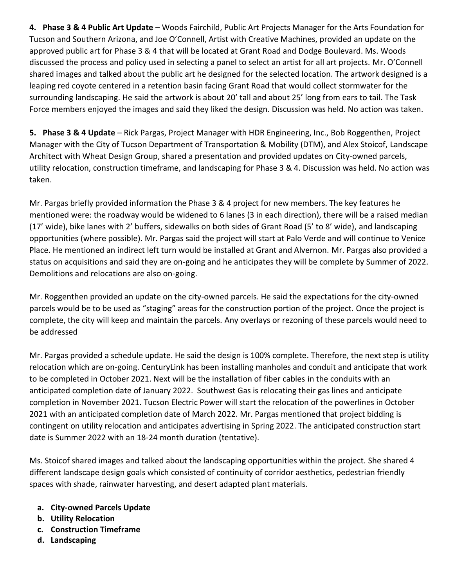**4. Phase 3 & 4 Public Art Update** – Woods Fairchild, Public Art Projects Manager for the Arts Foundation for Tucson and Southern Arizona, and Joe O'Connell, Artist with Creative Machines, provided an update on the approved public art for Phase 3 & 4 that will be located at Grant Road and Dodge Boulevard. Ms. Woods discussed the process and policy used in selecting a panel to select an artist for all art projects. Mr. O'Connell shared images and talked about the public art he designed for the selected location. The artwork designed is a leaping red coyote centered in a retention basin facing Grant Road that would collect stormwater for the surrounding landscaping. He said the artwork is about 20' tall and about 25' long from ears to tail. The Task Force members enjoyed the images and said they liked the design. Discussion was held. No action was taken.

**5. Phase 3 & 4 Update** – Rick Pargas, Project Manager with HDR Engineering, Inc., Bob Roggenthen, Project Manager with the City of Tucson Department of Transportation & Mobility (DTM), and Alex Stoicof, Landscape Architect with Wheat Design Group, shared a presentation and provided updates on City-owned parcels, utility relocation, construction timeframe, and landscaping for Phase 3 & 4. Discussion was held. No action was taken.

Mr. Pargas briefly provided information the Phase 3 & 4 project for new members. The key features he mentioned were: the roadway would be widened to 6 lanes (3 in each direction), there will be a raised median (17' wide), bike lanes with 2' buffers, sidewalks on both sides of Grant Road (5' to 8' wide), and landscaping opportunities (where possible). Mr. Pargas said the project will start at Palo Verde and will continue to Venice Place. He mentioned an indirect left turn would be installed at Grant and Alvernon. Mr. Pargas also provided a status on acquisitions and said they are on-going and he anticipates they will be complete by Summer of 2022. Demolitions and relocations are also on-going.

Mr. Roggenthen provided an update on the city-owned parcels. He said the expectations for the city-owned parcels would be to be used as "staging" areas for the construction portion of the project. Once the project is complete, the city will keep and maintain the parcels. Any overlays or rezoning of these parcels would need to be addressed

Mr. Pargas provided a schedule update. He said the design is 100% complete. Therefore, the next step is utility relocation which are on-going. CenturyLink has been installing manholes and conduit and anticipate that work to be completed in October 2021. Next will be the installation of fiber cables in the conduits with an anticipated completion date of January 2022. Southwest Gas is relocating their gas lines and anticipate completion in November 2021. Tucson Electric Power will start the relocation of the powerlines in October 2021 with an anticipated completion date of March 2022. Mr. Pargas mentioned that project bidding is contingent on utility relocation and anticipates advertising in Spring 2022. The anticipated construction start date is Summer 2022 with an 18-24 month duration (tentative).

Ms. Stoicof shared images and talked about the landscaping opportunities within the project. She shared 4 different landscape design goals which consisted of continuity of corridor aesthetics, pedestrian friendly spaces with shade, rainwater harvesting, and desert adapted plant materials.

- **a. City-owned Parcels Update**
- **b. Utility Relocation**
- **c. Construction Timeframe**
- **d. Landscaping**